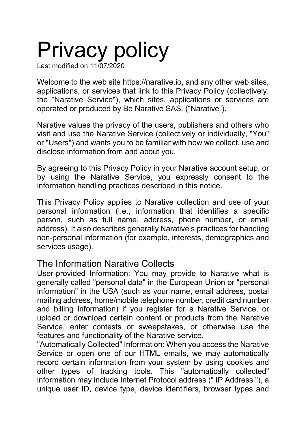# Privacy policy

Last modified on 11/07/2020

Welcome to the web site https://narative.io, and any other web sites, applications, or services that link to this Privacy Policy (collectively, the "Narative Service"), which sites, applications or services are operated or produced by Be Narative SAS. ("Narative").

Narative values the privacy of the users, publishers and others who visit and use the Narative Service (collectively or individually, "You" or "Users") and wants you to be familiar with how we collect, use and disclose information from and about you.

By agreeing to this Privacy Policy in your Narative account setup, or by using the Narative Service, you expressly consent to the information handling practices described in this notice.

This Privacy Policy applies to Narative collection and use of your personal information (i.e., information that identifies a specific person, such as full name, address, phone number, or email address). It also describes generally Narative's practices for handling non-personal information (for example, interests, demographics and services usage).

#### The Information Narative Collects

User-provided Information: You may provide to Narative what is generally called "personal data" in the European Union or "personal information" in the USA (such as your name, email address, postal mailing address, home/mobile telephone number, credit card number and billing information) if you register for a Narative Service, or upload or download certain content or products from the Narative Service, enter contests or sweepstakes, or otherwise use the features and functionality of the Narative service.

"Automatically Collected" Information: When you access the Narative Service or open one of our HTML emails, we may automatically record certain information from your system by using cookies and other types of tracking tools. This "automatically collected" information may include Internet Protocol address (" IP Address "), a unique user ID, device type, device identifiers, browser types and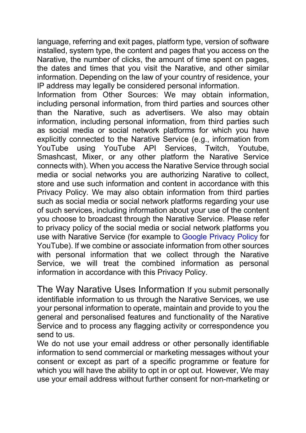language, referring and exit pages, platform type, version of software installed, system type, the content and pages that you access on the Narative, the number of clicks, the amount of time spent on pages, the dates and times that you visit the Narative, and other similar information. Depending on the law of your country of residence, your IP address may legally be considered personal information.

Information from Other Sources: We may obtain information, including personal information, from third parties and sources other than the Narative, such as advertisers. We also may obtain information, including personal information, from third parties such as social media or social network platforms for which you have explicitly connected to the Narative Service (e.g., information from YouTube using YouTube API Services, Twitch, Youtube, Smashcast, Mixer, or any other platform the Narative Service connects with). When you access the Narative Service through social media or social networks you are authorizing Narative to collect, store and use such information and content in accordance with this Privacy Policy. We may also obtain information from third parties such as social media or social network platforms regarding your use of such services, including information about your use of the content you choose to broadcast through the Narative Service. Please refer to privacy policy of the social media or social network platforms you use with Narative Service (for example to Google Privacy Policy for YouTube). If we combine or associate information from other sources with personal information that we collect through the Narative Service, we will treat the combined information as personal information in accordance with this Privacy Policy.

The Way Narative Uses Information If you submit personally identifiable information to us through the Narative Services, we use your personal information to operate, maintain and provide to you the general and personalised features and functionality of the Narative Service and to process any flagging activity or correspondence you send to us.

We do not use your email address or other personally identifiable information to send commercial or marketing messages without your consent or except as part of a specific programme or feature for which you will have the ability to opt in or opt out. However, We may use your email address without further consent for non-marketing or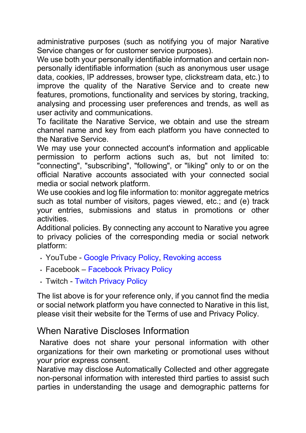administrative purposes (such as notifying you of major Narative Service changes or for customer service purposes).

We use both your personally identifiable information and certain nonpersonally identifiable information (such as anonymous user usage data, cookies, IP addresses, browser type, clickstream data, etc.) to improve the quality of the Narative Service and to create new features, promotions, functionality and services by storing, tracking, analysing and processing user preferences and trends, as well as user activity and communications.

To facilitate the Narative Service, we obtain and use the stream channel name and key from each platform you have connected to the Narative Service.

We may use your connected account's information and applicable permission to perform actions such as, but not limited to: "connecting", "subscribing", "following", or "liking" only to or on the official Narative accounts associated with your connected social media or social network platform.

We use cookies and log file information to: monitor aggregate metrics such as total number of visitors, pages viewed, etc.; and (e) track your entries, submissions and status in promotions or other activities.

Additional policies. By connecting any account to Narative you agree to privacy policies of the corresponding media or social network platform:

- YouTube Google Privacy Policy, Revoking access
- Facebook Facebook Privacy Policy
- Twitch Twitch Privacy Policy

The list above is for your reference only, if you cannot find the media or social network platform you have connected to Narative in this list, please visit their website for the Terms of use and Privacy Policy.

### When Narative Discloses Information

Narative does not share your personal information with other organizations for their own marketing or promotional uses without your prior express consent.

Narative may disclose Automatically Collected and other aggregate non-personal information with interested third parties to assist such parties in understanding the usage and demographic patterns for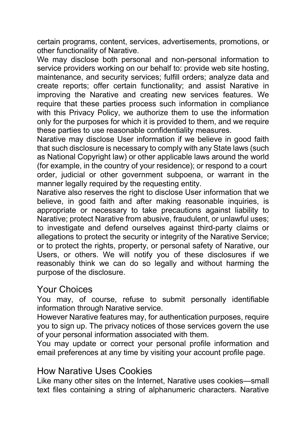certain programs, content, services, advertisements, promotions, or other functionality of Narative.

We may disclose both personal and non-personal information to service providers working on our behalf to: provide web site hosting, maintenance, and security services; fulfill orders; analyze data and create reports; offer certain functionality; and assist Narative in improving the Narative and creating new services features. We require that these parties process such information in compliance with this Privacy Policy, we authorize them to use the information only for the purposes for which it is provided to them, and we require these parties to use reasonable confidentiality measures.

Narative may disclose User information if we believe in good faith that such disclosure is necessary to comply with any State laws (such as National Copyright law) or other applicable laws around the world (for example, in the country of your residence); or respond to a court order, judicial or other government subpoena, or warrant in the manner legally required by the requesting entity.

Narative also reserves the right to disclose User information that we believe, in good faith and after making reasonable inquiries, is appropriate or necessary to take precautions against liability to Narative; protect Narative from abusive, fraudulent, or unlawful uses; to investigate and defend ourselves against third-party claims or allegations to protect the security or integrity of the Narative Service; or to protect the rights, property, or personal safety of Narative, our Users, or others. We will notify you of these disclosures if we reasonably think we can do so legally and without harming the purpose of the disclosure.

#### Your Choices

You may, of course, refuse to submit personally identifiable information through Narative service.

However Narative features may, for authentication purposes, require you to sign up. The privacy notices of those services govern the use of your personal information associated with them.

You may update or correct your personal profile information and email preferences at any time by visiting your account profile page.

#### How Narative Uses Cookies

Like many other sites on the Internet, Narative uses cookies—small text files containing a string of alphanumeric characters. Narative